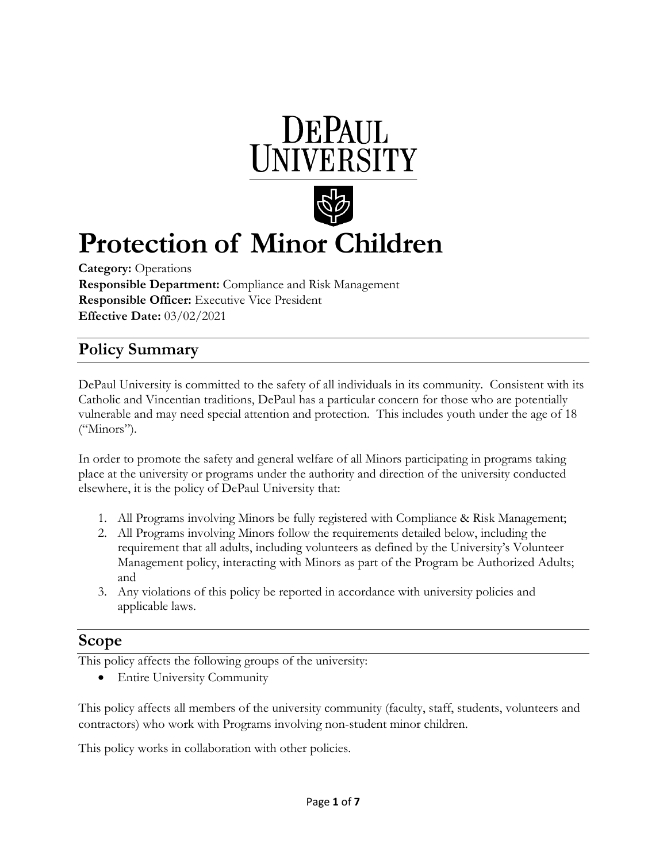



# **Protection of Minor Children**

**Category:** Operations **Responsible Department:** Compliance and Risk Management **Responsible Officer:** Executive Vice President **Effective Date:** 03/02/2021

# **Policy Summary**

DePaul University is committed to the safety of all individuals in its community. Consistent with its Catholic and Vincentian traditions, DePaul has a particular concern for those who are potentially vulnerable and may need special attention and protection. This includes youth under the age of 18 ("Minors").

In order to promote the safety and general welfare of all Minors participating in programs taking place at the university or programs under the authority and direction of the university conducted elsewhere, it is the policy of DePaul University that:

- 1. All Programs involving Minors be fully registered with Compliance & Risk Management;
- 2. All Programs involving Minors follow the requirements detailed below, including the requirement that all adults, including volunteers as defined by the University's Volunteer Management policy, interacting with Minors as part of the Program be Authorized Adults; and
- 3. Any violations of this policy be reported in accordance with university policies and applicable laws.

## **Scope**

This policy affects the following groups of the university:

• Entire University Community

This policy affects all members of the university community (faculty, staff, students, volunteers and contractors) who work with Programs involving non-student minor children.

This policy works in collaboration with other policies.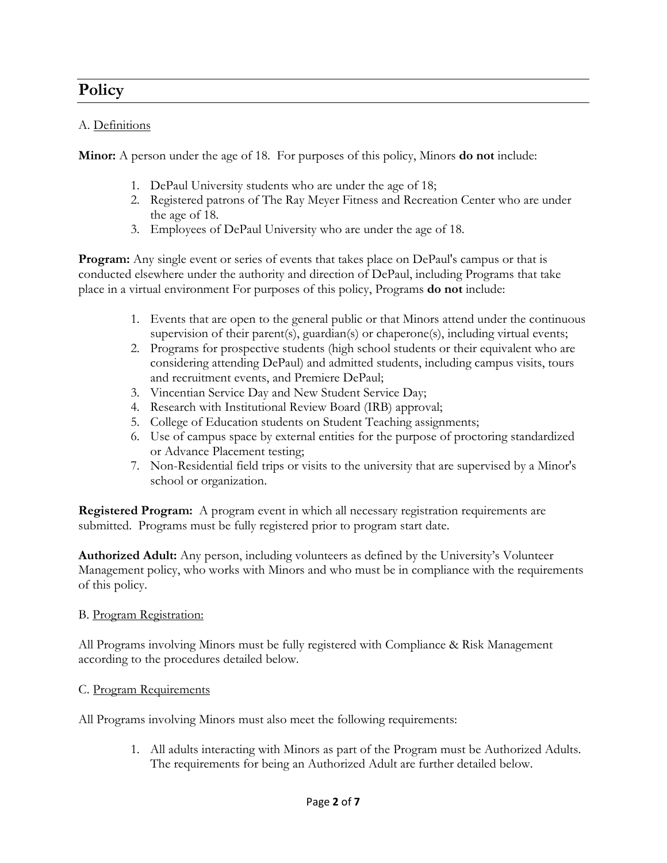# **Policy**

#### A. Definitions

**Minor:** A person under the age of 18. For purposes of this policy, Minors **do not** include:

- 1. DePaul University students who are under the age of 18;
- 2. Registered patrons of The Ray Meyer Fitness and Recreation Center who are under the age of 18.
- 3. Employees of DePaul University who are under the age of 18.

**Program:** Any single event or series of events that takes place on DePaul's campus or that is conducted elsewhere under the authority and direction of DePaul, including Programs that take place in a virtual environment For purposes of this policy, Programs **do not** include:

- 1. Events that are open to the general public or that Minors attend under the continuous supervision of their parent(s), guardian(s) or chaperone(s), including virtual events;
- 2. Programs for prospective students (high school students or their equivalent who are considering attending DePaul) and admitted students, including campus visits, tours and recruitment events, and Premiere DePaul;
- 3. Vincentian Service Day and New Student Service Day;
- 4. Research with Institutional Review Board (IRB) approval;
- 5. College of Education students on Student Teaching assignments;
- 6. Use of campus space by external entities for the purpose of proctoring standardized or Advance Placement testing;
- 7. Non-Residential field trips or visits to the university that are supervised by a Minor's school or organization.

**Registered Program:** A program event in which all necessary registration requirements are submitted. Programs must be fully registered prior to program start date.

**Authorized Adult:** Any person, including volunteers as defined by the University's Volunteer Management policy, who works with Minors and who must be in compliance with the requirements of this policy.

#### B. Program Registration:

All Programs involving Minors must be fully registered with Compliance & Risk Management according to the procedures detailed below.

#### C. Program Requirements

All Programs involving Minors must also meet the following requirements:

1. All adults interacting with Minors as part of the Program must be Authorized Adults. The requirements for being an Authorized Adult are further detailed below.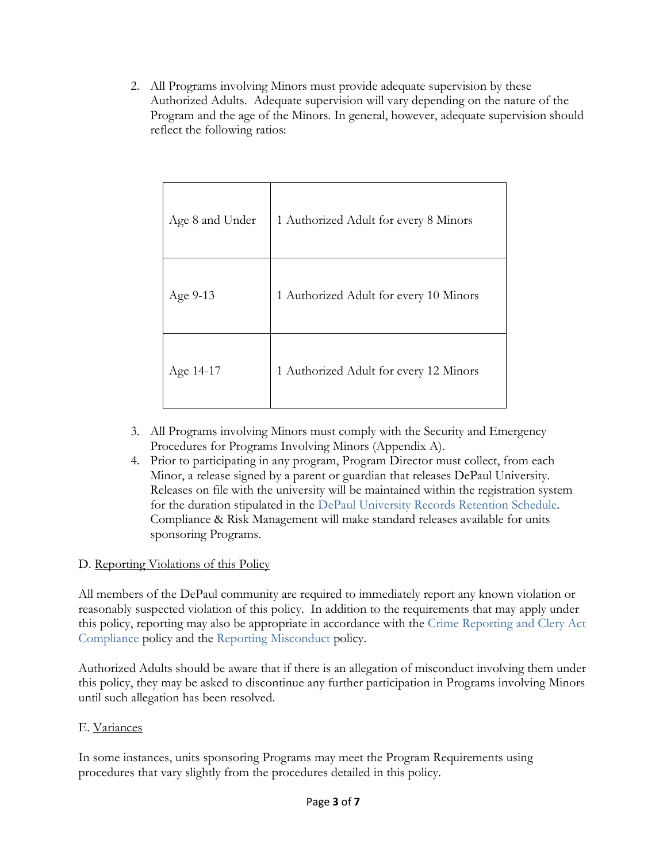2. All Programs involving Minors must provide adequate supervision by these Authorized Adults. Adequate supervision will vary depending on the nature of the Program and the age of the Minors. In general, however, adequate supervision should reflect the following ratios:

| Age 8 and Under | 1 Authorized Adult for every 8 Minors  |
|-----------------|----------------------------------------|
| Age 9-13        | 1 Authorized Adult for every 10 Minors |
| Age 14-17       | 1 Authorized Adult for every 12 Minors |

- 3. All Programs involving Minors must comply with the Security and Emergency Procedures for Programs Involving Minors (Appendix A).
- 4. Prior to participating in any program, Program Director must collect, from each Minor, a release signed by a parent or guardian that releases DePaul University. Releases on file with the university will be maintained within the registration system for the duration stipulated in the [DePaul University Records Retention Schedule.](http://rm.depaul.edu/Retention/RetentionSched.aspx)  Compliance & Risk Management will make standard releases available for units sponsoring Programs.

#### D. Reporting Violations of this Policy

All members of the DePaul community are required to immediately report any known violation or reasonably suspected violation of this policy. In addition to the requirements that may apply under this policy, reporting may also be appropriate in accordance with the [Crime Reporting and Clery Act](https://offices.depaul.edu/secretary/policies-procedures/policies/Documents/Crime%20Reporting%20and%20Clery%20Act%20Compliance.pdf)  [Compliance](https://offices.depaul.edu/secretary/policies-procedures/policies/Documents/Crime%20Reporting%20and%20Clery%20Act%20Compliance.pdf) policy and the [Reporting Misconduct](https://offices.depaul.edu/secretary/policies-procedures/policies/Documents/Reporting%20Misconduct%20and%20Non-Retaliation%20Policy.pdf) policy.

Authorized Adults should be aware that if there is an allegation of misconduct involving them under this policy, they may be asked to discontinue any further participation in Programs involving Minors until such allegation has been resolved.

#### E. Variances

In some instances, units sponsoring Programs may meet the Program Requirements using procedures that vary slightly from the procedures detailed in this policy.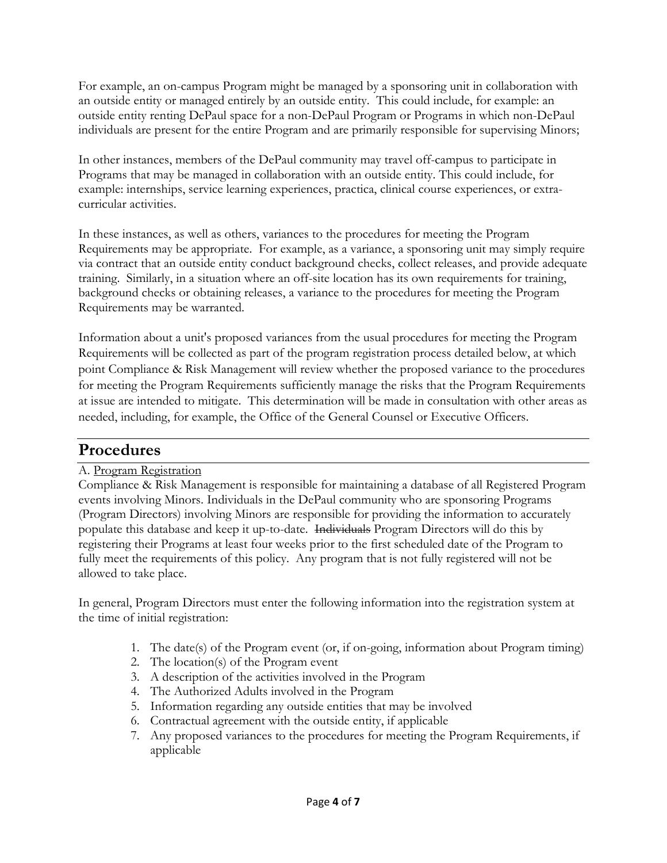For example, an on-campus Program might be managed by a sponsoring unit in collaboration with an outside entity or managed entirely by an outside entity. This could include, for example: an outside entity renting DePaul space for a non-DePaul Program or Programs in which non-DePaul individuals are present for the entire Program and are primarily responsible for supervising Minors;

In other instances, members of the DePaul community may travel off-campus to participate in Programs that may be managed in collaboration with an outside entity. This could include, for example: internships, service learning experiences, practica, clinical course experiences, or extracurricular activities.

In these instances, as well as others, variances to the procedures for meeting the Program Requirements may be appropriate. For example, as a variance, a sponsoring unit may simply require via contract that an outside entity conduct background checks, collect releases, and provide adequate training. Similarly, in a situation where an off-site location has its own requirements for training, background checks or obtaining releases, a variance to the procedures for meeting the Program Requirements may be warranted.

Information about a unit's proposed variances from the usual procedures for meeting the Program Requirements will be collected as part of the program registration process detailed below, at which point Compliance & Risk Management will review whether the proposed variance to the procedures for meeting the Program Requirements sufficiently manage the risks that the Program Requirements at issue are intended to mitigate. This determination will be made in consultation with other areas as needed, including, for example, the Office of the General Counsel or Executive Officers.

## **Procedures**

#### A. Program Registration

Compliance & Risk Management is responsible for maintaining a database of all Registered Program events involving Minors. Individuals in the DePaul community who are sponsoring Programs (Program Directors) involving Minors are responsible for providing the information to accurately populate this database and keep it up-to-date. Individuals Program Directors will do this by registering their Programs at least four weeks prior to the first scheduled date of the Program to fully meet the requirements of this policy. Any program that is not fully registered will not be allowed to take place.

In general, Program Directors must enter the following information into the registration system at the time of initial registration:

- 1. The date(s) of the Program event (or, if on-going, information about Program timing)
- 2. The location(s) of the Program event
- 3. A description of the activities involved in the Program
- 4. The Authorized Adults involved in the Program
- 5. Information regarding any outside entities that may be involved
- 6. Contractual agreement with the outside entity, if applicable
- 7. Any proposed variances to the procedures for meeting the Program Requirements, if applicable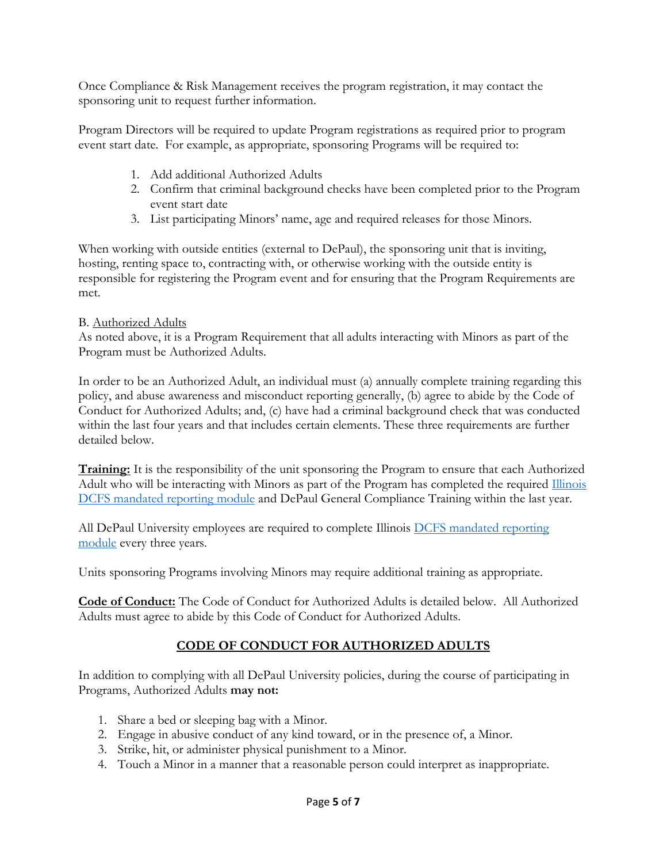Once Compliance & Risk Management receives the program registration, it may contact the sponsoring unit to request further information.

Program Directors will be required to update Program registrations as required prior to program event start date. For example, as appropriate, sponsoring Programs will be required to:

- 1. Add additional Authorized Adults
- 2. Confirm that criminal background checks have been completed prior to the Program event start date
- 3. List participating Minors' name, age and required releases for those Minors.

When working with outside entities (external to DePaul), the sponsoring unit that is inviting, hosting, renting space to, contracting with, or otherwise working with the outside entity is responsible for registering the Program event and for ensuring that the Program Requirements are met.

#### B. Authorized Adults

As noted above, it is a Program Requirement that all adults interacting with Minors as part of the Program must be Authorized Adults.

In order to be an Authorized Adult, an individual must (a) annually complete training regarding this policy, and abuse awareness and misconduct reporting generally, (b) agree to abide by the Code of Conduct for Authorized Adults; and, (c) have had a criminal background check that was conducted within the last four years and that includes certain elements. These three requirements are further detailed below.

**Training:** It is the responsibility of the unit sponsoring the Program to ensure that each Authorized Adult who will be interacting with Minors as part of the Program has completed the required Illinois [DCFS mandated reporting module](mailto:https://mr.dcfstraining.org/UserAuth/Login!loginPage.action) and DePaul General Compliance Training within the last year.

All DePaul University employees are required to complete Illinois [DCFS mandated reporting](https://mr.dcfstraining.org/UserAuth/Login!loginPage.action)  [module](https://mr.dcfstraining.org/UserAuth/Login!loginPage.action) every three years.

Units sponsoring Programs involving Minors may require additional training as appropriate.

**Code of Conduct:** The Code of Conduct for Authorized Adults is detailed below. All Authorized Adults must agree to abide by this Code of Conduct for Authorized Adults.

#### **CODE OF CONDUCT FOR AUTHORIZED ADULTS**

In addition to complying with all DePaul University policies, during the course of participating in Programs, Authorized Adults **may not:**

- 1. Share a bed or sleeping bag with a Minor.
- 2. Engage in abusive conduct of any kind toward, or in the presence of, a Minor.
- 3. Strike, hit, or administer physical punishment to a Minor.
- 4. Touch a Minor in a manner that a reasonable person could interpret as inappropriate.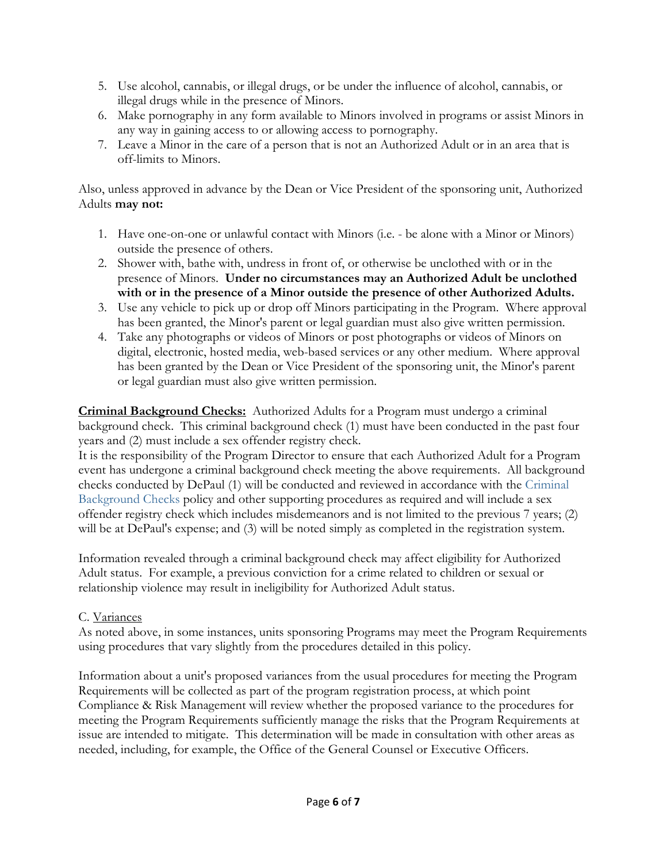- 5. Use alcohol, cannabis, or illegal drugs, or be under the influence of alcohol, cannabis, or illegal drugs while in the presence of Minors.
- 6. Make pornography in any form available to Minors involved in programs or assist Minors in any way in gaining access to or allowing access to pornography.
- 7. Leave a Minor in the care of a person that is not an Authorized Adult or in an area that is off-limits to Minors.

Also, unless approved in advance by the Dean or Vice President of the sponsoring unit, Authorized Adults **may not:**

- 1. Have one-on-one or unlawful contact with Minors (i.e. be alone with a Minor or Minors) outside the presence of others.
- 2. Shower with, bathe with, undress in front of, or otherwise be unclothed with or in the presence of Minors. **Under no circumstances may an Authorized Adult be unclothed with or in the presence of a Minor outside the presence of other Authorized Adults.**
- 3. Use any vehicle to pick up or drop off Minors participating in the Program. Where approval has been granted, the Minor's parent or legal guardian must also give written permission.
- 4. Take any photographs or videos of Minors or post photographs or videos of Minors on digital, electronic, hosted media, web-based services or any other medium. Where approval has been granted by the Dean or Vice President of the sponsoring unit, the Minor's parent or legal guardian must also give written permission.

**Criminal Background Checks:** Authorized Adults for a Program must undergo a criminal background check. This criminal background check (1) must have been conducted in the past four years and (2) must include a sex offender registry check.

It is the responsibility of the Program Director to ensure that each Authorized Adult for a Program event has undergone a criminal background check meeting the above requirements. All background checks conducted by DePaul (1) will be conducted and reviewed in accordance with the [Criminal](https://offices.depaul.edu/secretary/policies-procedures/policies/Documents/Criminal%20Background%20Checks.pdf)  [Background Checks](https://offices.depaul.edu/secretary/policies-procedures/policies/Documents/Criminal%20Background%20Checks.pdf) policy and other supporting procedures as required and will include a sex offender registry check which includes misdemeanors and is not limited to the previous 7 years; (2) will be at DePaul's expense; and (3) will be noted simply as completed in the registration system.

Information revealed through a criminal background check may affect eligibility for Authorized Adult status. For example, a previous conviction for a crime related to children or sexual or relationship violence may result in ineligibility for Authorized Adult status.

#### C. Variances

As noted above, in some instances, units sponsoring Programs may meet the Program Requirements using procedures that vary slightly from the procedures detailed in this policy.

Information about a unit's proposed variances from the usual procedures for meeting the Program Requirements will be collected as part of the program registration process, at which point Compliance & Risk Management will review whether the proposed variance to the procedures for meeting the Program Requirements sufficiently manage the risks that the Program Requirements at issue are intended to mitigate. This determination will be made in consultation with other areas as needed, including, for example, the Office of the General Counsel or Executive Officers.